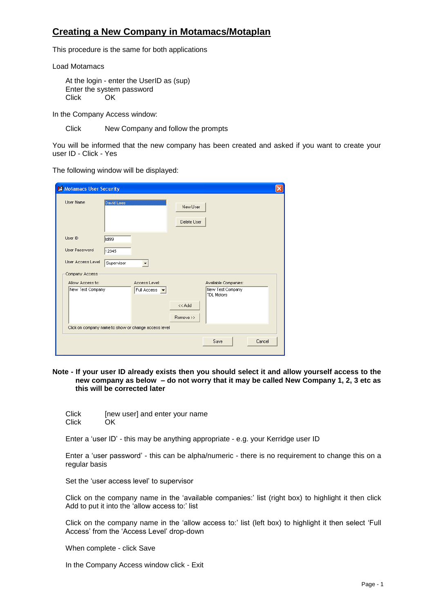## **Creating a New Company in Motamacs/Motaplan**

This procedure is the same for both applications

Load Motamacs

At the login - enter the UserID as (sup) Enter the system password Click OK

In the Company Access window:

Click New Company and follow the prompts

You will be informed that the new company has been created and asked if you want to create your user ID - Click - Yes

The following window will be displayed:

| Motamacs User Security                               |            |               |                         |                                       |        |
|------------------------------------------------------|------------|---------------|-------------------------|---------------------------------------|--------|
| User Name                                            | David Lees |               | New User<br>Delete User |                                       |        |
| User ID                                              | tdi99      |               |                         |                                       |        |
| User Password                                        | 12345      |               |                         |                                       |        |
| User Access Level                                    | Supervisor |               |                         |                                       |        |
| Company Access                                       |            |               |                         |                                       |        |
| Allow Access to:                                     |            | Access Level: |                         | Available Companies:                  |        |
| New Test Company                                     |            | Full Access v |                         | New Test Company<br><b>TDL Motors</b> |        |
|                                                      |            |               | << Add                  |                                       |        |
|                                                      |            |               | Remove >>               |                                       |        |
| Click on company name to show or change access level |            |               |                         |                                       |        |
|                                                      |            |               |                         | Save                                  | Cancel |
|                                                      |            |               |                         |                                       |        |

## **Note - If your user ID already exists then you should select it and allow yourself access to the new company as below – do not worry that it may be called New Company 1, 2, 3 etc as this will be corrected later**

Click [new user] and enter your name Click OK

Enter a 'user ID' - this may be anything appropriate - e.g. your Kerridge user ID

Enter a 'user password' - this can be alpha/numeric - there is no requirement to change this on a regular basis

Set the 'user access level' to supervisor

Click on the company name in the 'available companies:' list (right box) to highlight it then click Add to put it into the 'allow access to:' list

Click on the company name in the 'allow access to:' list (left box) to highlight it then select 'Full Access' from the 'Access Level' drop-down

When complete - click Save

In the Company Access window click - Exit